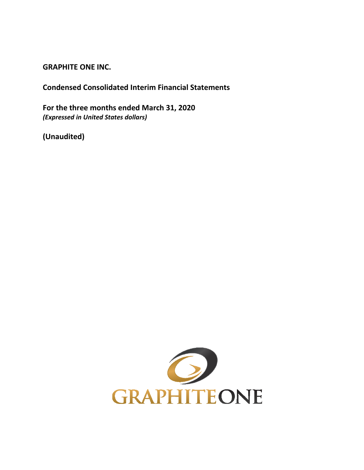**GRAPHITE ONE INC.**

**Condensed Consolidated Interim Financial Statements**

**For the three months ended March 31, 2020** *(Expressed in United States dollars)*

**(Unaudited)**

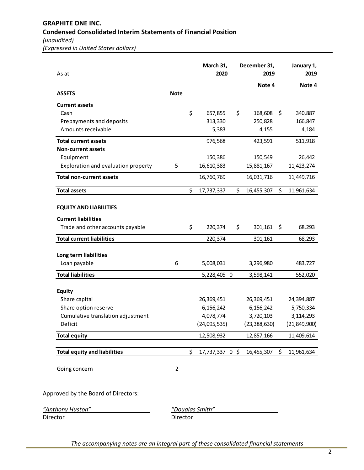*(Expressed in United States dollars)*

| As at                               |                | March 31,<br>2020     | December 31,<br>2019 | January 1,<br>2019 |
|-------------------------------------|----------------|-----------------------|----------------------|--------------------|
|                                     |                |                       | Note 4               | Note 4             |
| <b>ASSETS</b>                       | <b>Note</b>    |                       |                      |                    |
| <b>Current assets</b>               |                |                       |                      |                    |
| Cash                                |                | \$<br>657,855         | \$<br>168,608        | \$<br>340,887      |
| Prepayments and deposits            |                | 313,330               | 250,828              | 166,847            |
| Amounts receivable                  |                | 5,383                 | 4,155                | 4,184              |
| <b>Total current assets</b>         |                | 976,568               | 423,591              | 511,918            |
| <b>Non-current assets</b>           |                |                       |                      |                    |
| Equipment                           |                | 150,386               | 150,549              | 26,442             |
| Exploration and evaluation property | 5              | 16,610,383            | 15,881,167           | 11,423,274         |
| <b>Total non-current assets</b>     |                | 16,760,769            | 16,031,716           | 11,449,716         |
| <b>Total assets</b>                 |                | \$<br>17,737,337      | \$<br>16,455,307     | \$<br>11,961,634   |
| <b>EQUITY AND LIABILITIES</b>       |                |                       |                      |                    |
| <b>Current liabilities</b>          |                |                       |                      |                    |
| Trade and other accounts payable    |                | \$<br>220,374         | \$<br>301,161        | \$<br>68,293       |
| <b>Total current liabilities</b>    |                | 220,374               | 301,161              | 68,293             |
| Long term liabilities               |                |                       |                      |                    |
| Loan payable                        | 6              | 5,008,031             | 3,296,980            | 483,727            |
| <b>Total liabilities</b>            |                | 5,228,405 0           | 3,598,141            | 552,020            |
| <b>Equity</b>                       |                |                       |                      |                    |
| Share capital                       |                | 26,369,451            | 26,369,451           | 24,394,887         |
| Share option reserve                |                | 6,156,242             | 6,156,242            | 5,750,334          |
| Cumulative translation adjustment   |                | 4,078,774             | 3,720,103            | 3,114,293          |
| Deficit                             |                | (24,095,535)          | (23, 388, 630)       | (21, 849, 900)     |
| <b>Total equity</b>                 |                | 12,508,932            | 12,857,166           | 11,409,614         |
| <b>Total equity and liabilities</b> |                | \$<br>17,737,337 0 \$ | 16,455,307           | \$<br>11,961,634   |
| Going concern                       | $\overline{2}$ |                       |                      |                    |
| o Doard of Diroct.                  |                |                       |                      |                    |

Approved by the Board of Directors:

*"Anthony Huston" "Douglas Smith"*

Director Director

*The accompanying notes are an integral part of these consolidated financial statements*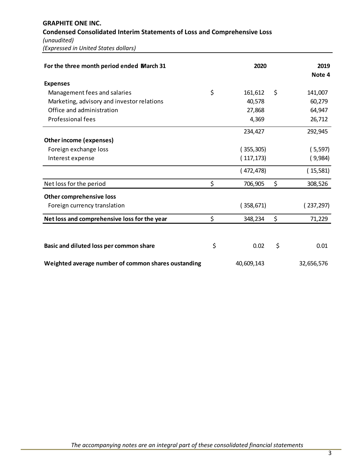**GRAPHITE ONE INC. Condensed Consolidated Interim Statements of Loss and Comprehensive Loss** *(unaudited) (Expressed in United States dollars)*

| For the three month period ended March 31           | 2020          | 2019<br>Note 4 |
|-----------------------------------------------------|---------------|----------------|
| <b>Expenses</b>                                     |               |                |
| Management fees and salaries                        | \$<br>161,612 | \$<br>141,007  |
| Marketing, advisory and investor relations          | 40,578        | 60,279         |
| Office and administration                           | 27,868        | 64,947         |
| <b>Professional fees</b>                            | 4,369         | 26,712         |
|                                                     | 234,427       | 292,945        |
| <b>Other income (expenses)</b>                      |               |                |
| Foreign exchange loss                               | (355,305)     | (5,597)        |
| Interest expense                                    | (117, 173)    | (9,984)        |
|                                                     | (472, 478)    | (15,581)       |
| Net loss for the period                             | \$<br>706,905 | \$<br>308,526  |
| <b>Other comprehensive loss</b>                     |               |                |
| Foreign currency translation                        | (358, 671)    | (237,297)      |
| Net loss and comprehensive loss for the year        | \$<br>348,234 | \$<br>71,229   |
|                                                     |               |                |
| Basic and diluted loss per common share             | \$<br>0.02    | \$<br>0.01     |
| Weighted average number of common shares oustanding | 40,609,143    | 32,656,576     |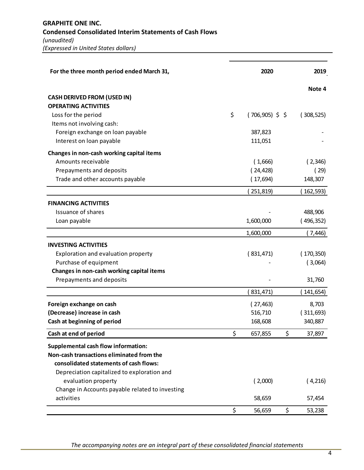| For the three month period ended March 31,                        | 2020                   | 2019         |
|-------------------------------------------------------------------|------------------------|--------------|
|                                                                   |                        | Note 4       |
| <b>CASH DERIVED FROM (USED IN)</b><br><b>OPERATING ACTIVITIES</b> |                        |              |
| Loss for the period                                               | \$<br>$(706,905)$ \$\$ | (308, 525)   |
| Items not involving cash:                                         |                        |              |
| Foreign exchange on loan payable                                  | 387,823                |              |
| Interest on loan payable                                          | 111,051                |              |
| Changes in non-cash working capital items                         |                        |              |
| Amounts receivable                                                | (1,666)                | (2,346)      |
| Prepayments and deposits                                          | (24, 428)              | (29)         |
| Trade and other accounts payable                                  | (17,694)               | 148,307      |
|                                                                   | 251,819)               | 162,593)     |
| <b>FINANCING ACTIVITIES</b>                                       |                        |              |
| <b>Issuance of shares</b>                                         |                        | 488,906      |
| Loan payable                                                      | 1,600,000              | (496, 352)   |
|                                                                   | 1,600,000              | (7, 446)     |
| <b>INVESTING ACTIVITIES</b>                                       |                        |              |
| Exploration and evaluation property                               | (831, 471)             | (170, 350)   |
| Purchase of equipment                                             |                        | (3,064)      |
| Changes in non-cash working capital items                         |                        |              |
| Prepayments and deposits                                          |                        | 31,760       |
|                                                                   | 831,471)               | 141,654)     |
| Foreign exchange on cash                                          | (27, 463)              | 8,703        |
| (Decrease) increase in cash                                       | 516,710                | (311,693)    |
| Cash at beginning of period                                       | 168,608                | 340,887      |
| Cash at end of period                                             | \$<br>657,855          | \$<br>37,897 |
| <b>Supplemental cash flow information:</b>                        |                        |              |
| Non-cash transactions eliminated from the                         |                        |              |
| consolidated statements of cash flows:                            |                        |              |
| Depreciation capitalized to exploration and                       |                        |              |
| evaluation property                                               | (2,000)                | (4,216)      |
| Change in Accounts payable related to investing                   |                        |              |
| activities                                                        | 58,659                 | 57,454       |
|                                                                   | \$<br>56,659           | \$<br>53,238 |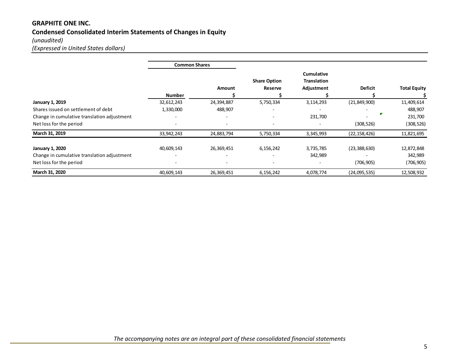# **GRAPHITE ONE INC. Condensed Consolidated Interim Statements of Changes in Equity** *(unaudited)*

*(Expressed in United States dollars)*

|                                             | <b>Common Shares</b> |            |                                |                                                |                |                     |
|---------------------------------------------|----------------------|------------|--------------------------------|------------------------------------------------|----------------|---------------------|
|                                             | <b>Number</b>        | Amount     | <b>Share Option</b><br>Reserve | <b>Cumulative</b><br>Translation<br>Adjustment | <b>Deficit</b> | <b>Total Equity</b> |
| <b>January 1, 2019</b>                      | 32,612,243           | 24,394,887 | 5,750,334                      | 3,114,293                                      | (21, 849, 900) | 11,409,614          |
| Shares issued on settlement of debt         | 1,330,000            | 488,907    |                                | $\overline{\phantom{a}}$                       |                | 488,907             |
| Change in cumulative translation adjustment |                      |            |                                | 231,700                                        |                | 231,700             |
| Net loss for the period                     |                      |            |                                |                                                | (308, 526)     | (308, 526)          |
| March 31, 2019                              | 33,942,243           | 24,883,794 | 5,750,334                      | 3,345,993                                      | (22, 158, 426) | 11,821,695          |
| <b>January 1, 2020</b>                      | 40,609,143           | 26,369,451 | 6,156,242                      | 3,735,785                                      | (23, 388, 630) | 12,872,848          |
| Change in cumulative translation adjustment |                      |            |                                | 342,989                                        |                | 342,989             |
| Net loss for the period                     |                      |            |                                |                                                | (706, 905)     | (706,905)           |
| March 31, 2020                              | 40,609,143           | 26,369,451 | 6,156,242                      | 4,078,774                                      | (24,095,535)   | 12,508,932          |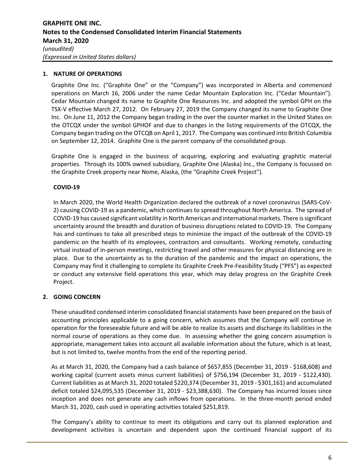# **1. NATURE OF OPERATIONS**

Graphite One Inc. ("Graphite One" or the "Company") was incorporated in Alberta and commenced operations on March 16, 2006 under the name Cedar Mountain Exploration Inc. ("Cedar Mountain"). Cedar Mountain changed its name to Graphite One Resources Inc. and adopted the symbol GPH on the TSX-V effective March 27, 2012. On February 27, 2019 the Company changed its name to Graphite One Inc. On June 11, 2012 the Company began trading in the over the counter market in the United States on the OTCQX under the symbol GPHOF and due to changes in the listing requirements of the OTCQX, the Company began trading on the OTCQB on April 1, 2017. The Company was continued into British Columbia on September 12, 2014. Graphite One is the parent company of the consolidated group.

Graphite One is engaged in the business of acquiring, exploring and evaluating graphitic material properties. Through its 100% owned subsidiary, Graphite One (Alaska) Inc., the Company is focussed on the Graphite Creek property near Nome, Alaska, (the "Graphite Creek Project").

# **COVID-19**

In March 2020, the World Health Organization declared the outbreak of a novel coronavirus (SARS-CoV-2) causing COVID-19 as a pandemic, which continues to spread throughout North America. The spread of COVID-19 has caused significant volatility in North American and international markets. There is significant uncertainty around the breadth and duration of business disruptions related to COVID-19. The Company has and continues to take all prescribed steps to minimize the impact of the outbreak of the COVID-19 pandemic on the health of its employees, contractors and consultants. Working remotely, conducting virtual instead of in-person meetings, restricting travel and other measures for physical distancing are in place. Due to the uncertainty as to the duration of the pandemic and the impact on operations, the Company may find it challenging to complete its Graphite Creek Pre-Feasibility Study ("PFS") as expected or conduct any extensive field operations this year, which may delay progress on the Graphite Creek Project.

# **2. GOING CONCERN**

These unaudited condensed interim consolidated financial statements have been prepared on the basis of accounting principles applicable to a going concern, which assumes that the Company will continue in operation for the foreseeable future and will be able to realize its assets and discharge its liabilities in the normal course of operations as they come due. In assessing whether the going concern assumption is appropriate, management takes into account all available information about the future, which is at least, but is not limited to, twelve months from the end of the reporting period.

As at March 31, 2020, the Company had a cash balance of \$657,855 (December 31, 2019 - \$168,608) and working capital (current assets minus current liabilities) of \$756,194 (December 31, 2019 - \$122,430). Current liabilities as at March 31, 2020 totaled \$220,374 (December 31, 2019 - \$301,161) and accumulated deficit totaled \$24,095,535 (December 31, 2019 - \$23,388,630). The Company has incurred losses since inception and does not generate any cash inflows from operations. In the three-month period ended March 31, 2020, cash used in operating activities totaled \$251,819.

The Company's ability to continue to meet its obligations and carry out its planned exploration and development activities is uncertain and dependent upon the continued financial support of its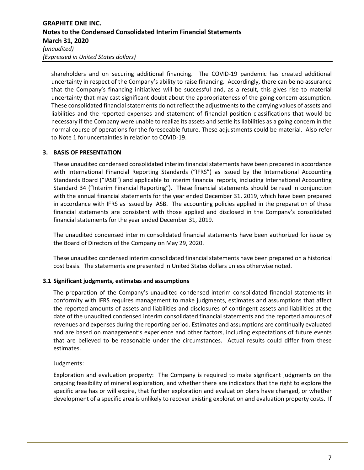# **GRAPHITE ONE INC. Notes to the Condensed Consolidated Interim Financial Statements March 31, 2020** *(unaudited) (Expressed in United States dollars)*

shareholders and on securing additional financing. The COVID-19 pandemic has created additional uncertainty in respect of the Company's ability to raise financing. Accordingly, there can be no assurance that the Company's financing initiatives will be successful and, as a result, this gives rise to material uncertainty that may cast significant doubt about the appropriateness of the going concern assumption. These consolidated financial statements do not reflect the adjustments to the carrying values of assets and liabilities and the reported expenses and statement of financial position classifications that would be necessary if the Company were unable to realize its assets and settle its liabilities as a going concern in the normal course of operations for the foreseeable future. These adjustments could be material. Also refer to Note 1 for uncertainties in relation to COVID-19.

# **3. BASIS OF PRESENTATION**

These unaudited condensed consolidated interim financial statements have been prepared in accordance with International Financial Reporting Standards ("IFRS") as issued by the International Accounting Standards Board ("IASB") and applicable to interim financial reports, including International Accounting Standard 34 ("Interim Financial Reporting"). These financial statements should be read in conjunction with the annual financial statements for the year ended December 31, 2019, which have been prepared in accordance with IFRS as issued by IASB. The accounting policies applied in the preparation of these financial statements are consistent with those applied and disclosed in the Company's consolidated financial statements for the year ended December 31, 2019.

The unaudited condensed interim consolidated financial statements have been authorized for issue by the Board of Directors of the Company on May 29, 2020.

These unaudited condensed interim consolidated financial statements have been prepared on a historical cost basis. The statements are presented in United States dollars unless otherwise noted.

# **3.1 Significant judgments, estimates and assumptions**

The preparation of the Company's unaudited condensed interim consolidated financial statements in conformity with IFRS requires management to make judgments, estimates and assumptions that affect the reported amounts of assets and liabilities and disclosures of contingent assets and liabilities at the date of the unaudited condensed interim consolidated financial statements and the reported amounts of revenues and expenses during the reporting period. Estimates and assumptions are continually evaluated and are based on management's experience and other factors, including expectations of future events that are believed to be reasonable under the circumstances. Actual results could differ from these estimates.

# Judgments:

Exploration and evaluation property: The Company is required to make significant judgments on the ongoing feasibility of mineral exploration, and whether there are indicators that the right to explore the specific area has or will expire, that further exploration and evaluation plans have changed, or whether development of a specific area is unlikely to recover existing exploration and evaluation property costs. If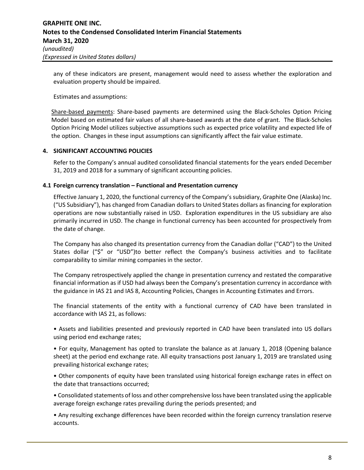any of these indicators are present, management would need to assess whether the exploration and evaluation property should be impaired.

Estimates and assumptions:

Share-based payments: Share-based payments are determined using the Black-Scholes Option Pricing Model based on estimated fair values of all share-based awards at the date of grant. The Black-Scholes Option Pricing Model utilizes subjective assumptions such as expected price volatility and expected life of the option. Changes in these input assumptions can significantly affect the fair value estimate.

# **4. SIGNIFICANT ACCOUNTING POLICIES**

Refer to the Company's annual audited consolidated financial statements for the years ended December 31, 2019 and 2018 for a summary of significant accounting policies.

# **4.1 Foreign currency translation – Functional and Presentation currency**

Effective January 1, 2020, the functional currency of the Company's subsidiary, Graphite One (Alaska) Inc. ("US Subsidiary"), has changed from Canadian dollars to United States dollars as financing for exploration operations are now substantially raised in USD. Exploration expenditures in the US subsidiary are also primarily incurred in USD. The change in functional currency has been accounted for prospectively from the date of change.

The Company has also changed its presentation currency from the Canadian dollar ("CAD") to the United States dollar ("\$" or "USD")to better reflect the Company's business activities and to facilitate comparability to similar mining companies in the sector.

The Company retrospectively applied the change in presentation currency and restated the comparative financial information as if USD had always been the Company's presentation currency in accordance with the guidance in IAS 21 and IAS 8, Accounting Policies, Changes in Accounting Estimates and Errors.

The financial statements of the entity with a functional currency of CAD have been translated in accordance with IAS 21, as follows:

• Assets and liabilities presented and previously reported in CAD have been translated into US dollars using period end exchange rates;

• For equity, Management has opted to translate the balance as at January 1, 2018 (Opening balance sheet) at the period end exchange rate. All equity transactions post January 1, 2019 are translated using prevailing historical exchange rates;

• Other components of equity have been translated using historical foreign exchange rates in effect on the date that transactions occurred;

• Consolidated statements of loss and other comprehensive loss have been translated using the applicable average foreign exchange rates prevailing during the periods presented; and

• Any resulting exchange differences have been recorded within the foreign currency translation reserve accounts.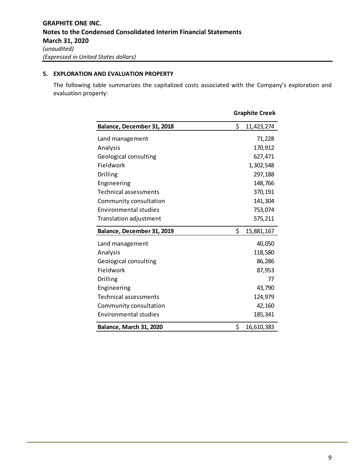# **5. EXPLORATION AND EVALUATION PROPERTY**

The following table summarizes the capitalized costs associated with the Company's exploration and evaluation property:

|                              | <b>Graphite Creek</b> |            |  |
|------------------------------|-----------------------|------------|--|
| Balance, December 31, 2018   | \$                    | 11,423,274 |  |
| Land management              |                       | 71,228     |  |
| Analysis                     |                       | 170,912    |  |
| Geological consulting        |                       | 627,471    |  |
| Fieldwork                    |                       | 1,302,548  |  |
| <b>Drilling</b>              |                       | 297,188    |  |
| Engineering                  |                       | 148,766    |  |
| <b>Technical assessments</b> |                       | 370,191    |  |
| Community consultation       |                       | 141,304    |  |
| <b>Environmental studies</b> |                       | 753,074    |  |
| Translation adjustment       |                       | 575,211    |  |
| Balance, December 31, 2019   | \$                    | 15,881,167 |  |
| Land management              |                       | 40,050     |  |
| Analysis                     |                       | 118,580    |  |
| Geological consulting        |                       | 86,286     |  |
| Fieldwork                    |                       | 87,953     |  |
| Drilling                     |                       | 77         |  |
| Engineering                  |                       | 43,790     |  |
| Technical assessments        |                       | 124,979    |  |
| Community consultation       |                       | 42,160     |  |
| <b>Environmental studies</b> |                       | 185,341    |  |
| Balance, March 31, 2020      | \$                    | 16,610,383 |  |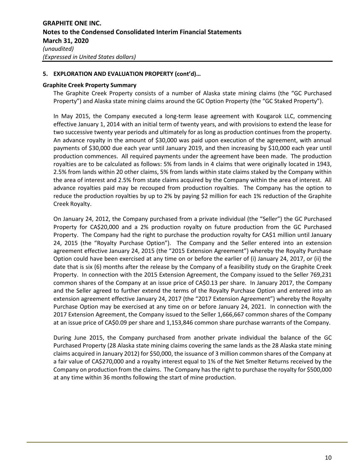# **5. EXPLORATION AND EVALUATION PROPERTY (cont'd)…**

## **Graphite Creek Property Summary**

The Graphite Creek Property consists of a number of Alaska state mining claims (the "GC Purchased Property") and Alaska state mining claims around the GC Option Property (the "GC Staked Property").

In May 2015, the Company executed a long-term lease agreement with Kougarok LLC, commencing effective January 1, 2014 with an initial term of twenty years, and with provisions to extend the lease for two successive twenty year periods and ultimately for as long as production continues from the property. An advance royalty in the amount of \$30,000 was paid upon execution of the agreement, with annual payments of \$30,000 due each year until January 2019, and then increasing by \$10,000 each year until production commences. All required payments under the agreement have been made. The production royalties are to be calculated as follows: 5% from lands in 4 claims that were originally located in 1943, 2.5% from lands within 20 other claims, 5% from lands within state claims staked by the Company within the area of interest and 2.5% from state claims acquired by the Company within the area of interest. All advance royalties paid may be recouped from production royalties. The Company has the option to reduce the production royalties by up to 2% by paying \$2 million for each 1% reduction of the Graphite Creek Royalty.

On January 24, 2012, the Company purchased from a private individual (the "Seller") the GC Purchased Property for CA\$20,000 and a 2% production royalty on future production from the GC Purchased Property. The Company had the right to purchase the production royalty for CA\$1 million until January 24, 2015 (the "Royalty Purchase Option"). The Company and the Seller entered into an extension agreement effective January 24, 2015 (the "2015 Extension Agreement") whereby the Royalty Purchase Option could have been exercised at any time on or before the earlier of (i) January 24, 2017, or (ii) the date that is six (6) months after the release by the Company of a feasibility study on the Graphite Creek Property. In connection with the 2015 Extension Agreement, the Company issued to the Seller 769,231 common shares of the Company at an issue price of CA\$0.13 per share. In January 2017, the Company and the Seller agreed to further extend the terms of the Royalty Purchase Option and entered into an extension agreement effective January 24, 2017 (the "2017 Extension Agreement") whereby the Royalty Purchase Option may be exercised at any time on or before January 24, 2021. In connection with the 2017 Extension Agreement, the Company issued to the Seller 1,666,667 common shares of the Company at an issue price of CA\$0.09 per share and 1,153,846 common share purchase warrants of the Company.

During June 2015, the Company purchased from another private individual the balance of the GC Purchased Property (28 Alaska state mining claims covering the same lands as the 28 Alaska state mining claims acquired in January 2012) for \$50,000, the issuance of 3 million common shares of the Company at a fair value of CA\$270,000 and a royalty interest equal to 1% of the Net Smelter Returns received by the Company on production from the claims. The Company has the right to purchase the royalty for \$500,000 at any time within 36 months following the start of mine production.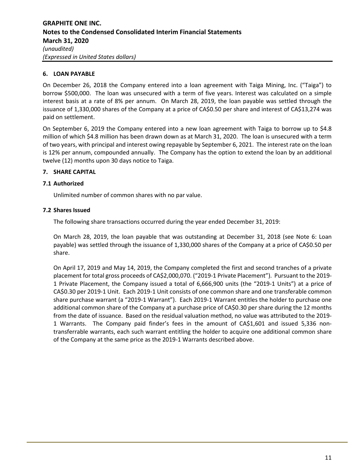# **6. LOAN PAYABLE**

On December 26, 2018 the Company entered into a loan agreement with Taiga Mining, Inc. ("Taiga") to borrow \$500,000. The loan was unsecured with a term of five years. Interest was calculated on a simple interest basis at a rate of 8% per annum. On March 28, 2019, the loan payable was settled through the issuance of 1,330,000 shares of the Company at a price of CA\$0.50 per share and interest of CA\$13,274 was paid on settlement.

On September 6, 2019 the Company entered into a new loan agreement with Taiga to borrow up to \$4.8 million of which \$4.8 million has been drawn down as at March 31, 2020. The loan is unsecured with a term of two years, with principal and interest owing repayable by September 6, 2021. The interest rate on the loan is 12% per annum, compounded annually. The Company has the option to extend the loan by an additional twelve (12) months upon 30 days notice to Taiga.

# **7. SHARE CAPITAL**

# **7.1 Authorized**

Unlimited number of common shares with no par value.

# **7.2 Shares Issued**

The following share transactions occurred during the year ended December 31, 2019:

On March 28, 2019, the loan payable that was outstanding at December 31, 2018 (see Note 6: Loan payable) was settled through the issuance of 1,330,000 shares of the Company at a price of CA\$0.50 per share.

On April 17, 2019 and May 14, 2019, the Company completed the first and second tranches of a private placement for total gross proceeds of CA\$2,000,070. ("2019-1 Private Placement"). Pursuant to the 2019- 1 Private Placement, the Company issued a total of 6,666,900 units (the "2019-1 Units") at a price of CA\$0.30 per 2019-1 Unit. Each 2019-1 Unit consists of one common share and one transferable common share purchase warrant (a "2019-1 Warrant"). Each 2019-1 Warrant entitles the holder to purchase one additional common share of the Company at a purchase price of CA\$0.30 per share during the 12 months from the date of issuance. Based on the residual valuation method, no value was attributed to the 2019- 1 Warrants. The Company paid finder's fees in the amount of CA\$1,601 and issued 5,336 nontransferrable warrants, each such warrant entitling the holder to acquire one additional common share of the Company at the same price as the 2019-1 Warrants described above.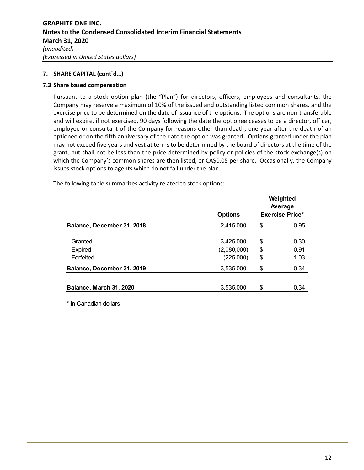# **7.3 Share based compensation**

Pursuant to a stock option plan (the "Plan") for directors, officers, employees and consultants, the Company may reserve a maximum of 10% of the issued and outstanding listed common shares, and the exercise price to be determined on the date of issuance of the options. The options are non-transferable and will expire, if not exercised, 90 days following the date the optionee ceases to be a director, officer, employee or consultant of the Company for reasons other than death, one year after the death of an optionee or on the fifth anniversary of the date the option was granted. Options granted under the plan may not exceed five years and vest at terms to be determined by the board of directors at the time of the grant, but shall not be less than the price determined by policy or policies of the stock exchange(s) on which the Company's common shares are then listed, or CA\$0.05 per share. Occasionally, the Company issues stock options to agents which do not fall under the plan.

The following table summarizes activity related to stock options:

|                            | <b>Options</b> | Weighted<br>Average<br><b>Exercise Price*</b> |  |
|----------------------------|----------------|-----------------------------------------------|--|
| Balance, December 31, 2018 | 2,415,000      | \$<br>0.95                                    |  |
| Granted                    | 3,425,000      | \$<br>0.30                                    |  |
| Expired                    | (2,080,000)    | \$<br>0.91                                    |  |
| Forfeited                  | (225,000)      | \$<br>1.03                                    |  |
| Balance, December 31, 2019 | 3,535,000      | \$<br>0.34                                    |  |
| Balance, March 31, 2020    | 3,535,000      | \$<br>0.34                                    |  |

\* in Canadian dollars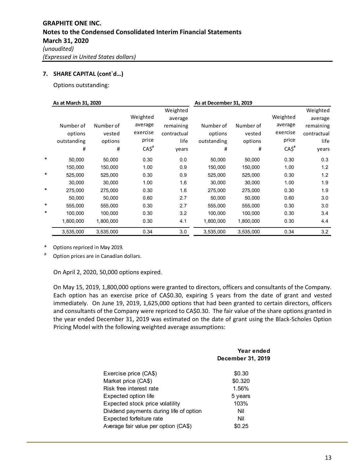Options outstanding:

|        | As at March 31, 2020 |           |                    |             | As at December 31, 2019 |           |                    |             |  |
|--------|----------------------|-----------|--------------------|-------------|-------------------------|-----------|--------------------|-------------|--|
|        |                      |           | Weighted           | Weighted    |                         |           | Weighted           | Weighted    |  |
|        |                      |           |                    | average     |                         |           |                    | average     |  |
|        | Number of            | Number of | average            | remaining   | Number of               | Number of | average            | remaining   |  |
|        | options              | vested    | exercise           | contractual | options                 | vested    | exercise           | contractual |  |
|        | outstanding          | options   | price              | life        | outstanding             | options   | price              | life        |  |
|        | #                    | #         | $CA5$ <sup>#</sup> | years       | #                       | #         | $CA5$ <sup>#</sup> | years       |  |
| *      | 50,000               | 50,000    | 0.30               | 0.0         | 50,000                  | 50,000    | 0.30               | 0.3         |  |
|        | 150,000              | 150,000   | 1.00               | 0.9         | 150,000                 | 150,000   | 1.00               | 1.2         |  |
| *      | 525,000              | 525,000   | 0.30               | 0.9         | 525,000                 | 525,000   | 0.30               | 1.2         |  |
|        | 30,000               | 30,000    | 1.00               | 1.6         | 30,000                  | 30,000    | 1.00               | 1.9         |  |
| $\ast$ | 275,000              | 275,000   | 0.30               | 1.6         | 275,000                 | 275,000   | 0.30               | 1.9         |  |
|        | 50,000               | 50,000    | 0.60               | 2.7         | 50,000                  | 50,000    | 0.60               | 3.0         |  |
| *      | 555,000              | 555,000   | 0.30               | 2.7         | 555,000                 | 555,000   | 0.30               | 3.0         |  |
| *      | 100,000              | 100,000   | 0.30               | 3.2         | 100,000                 | 100,000   | 0.30               | 3.4         |  |
|        | 1,800,000            | 1,800,000 | 0.30               | 4.1         | 1,800,000               | 1,800,000 | 0.30               | 4.4         |  |
|        | 3,535,000            | 3,535,000 | 0.34               | 3.0         | 3,535,000               | 3,535,000 | 0.34               | 3.2         |  |

\* Options repriced in May 2019.

Option prices are in Canadian dollars.

On April 2, 2020, 50,000 options expired.

On May 15, 2019, 1,800,000 options were granted to directors, officers and consultants of the Company. Each option has an exercise price of CA\$0.30, expiring 5 years from the date of grant and vested immediately. On June 19, 2019, 1,625,000 options that had been granted to certain directors, officers and consultants of the Company were repriced to CA\$0.30. The fair value of the share options granted in the year ended December 31, 2019 was estimated on the date of grant using the Black-Scholes Option Pricing Model with the following weighted average assumptions:

|                                         | Year ended<br>December 31, 2019 |
|-----------------------------------------|---------------------------------|
| Exercise price (CA\$)                   | \$0.30                          |
| Market price (CA\$)                     | \$0.320                         |
| Risk free interest rate                 | 1.56%                           |
| Expected option life                    | 5 years                         |
| Expected stock price volatility         | 103%                            |
| Dividend payments during life of option | Nil                             |
| Expected forfeiture rate                | Nil                             |
| Average fair value per option (CA\$)    | \$0.25                          |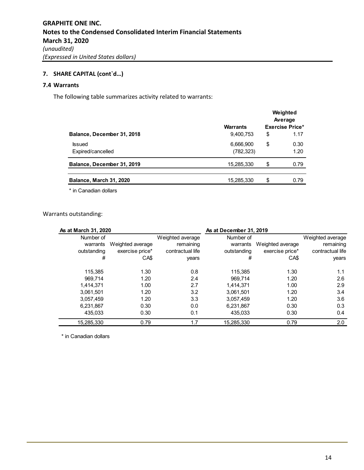# **7.4 Warrants**

The following table summarizes activity related to warrants:

|                                    | <b>Warrants</b>         | Weighted<br>Average<br><b>Exercise Price*</b> |
|------------------------------------|-------------------------|-----------------------------------------------|
| Balance, December 31, 2018         | 9,400,753               | \$<br>1.17                                    |
| <b>Issued</b><br>Expired/cancelled | 6,666,900<br>(782, 323) | \$<br>0.30<br>1.20                            |
| Balance, December 31, 2019         | 15,285,330              | \$<br>0.79                                    |
| Balance, March 31, 2020            | 15,285,330              | \$<br>0.79                                    |

\* in Canadian dollars

Warrants outstanding:

| As at March 31, 2020  |                  |                               | As at December 31, 2019 |                  |                               |
|-----------------------|------------------|-------------------------------|-------------------------|------------------|-------------------------------|
| Number of<br>warrants | Weighted average | Weighted average<br>remaining | Number of<br>warrants   | Weighted average | Weighted average<br>remaining |
| outstanding           | exercise price*  | contractual life              | outstanding             | exercise price*  | contractual life              |
| #                     | CA\$             | years                         | #                       | CA\$             | years                         |
| 115.385               | 1.30             | 0.8                           | 115.385                 | 1.30             | 1.1                           |
| 969.714               | 1.20             | 2.4                           | 969.714                 | 1.20             | 2.6                           |
| 1.414.371             | 1.00             | 2.7                           | 1.414.371               | 1.00             | 2.9                           |
| 3.061.501             | 1.20             | 3.2                           | 3.061.501               | 1.20             | 3.4                           |
| 3,057,459             | 1.20             | 3.3                           | 3,057,459               | 1.20             | 3.6                           |
| 6,231,867             | 0.30             | 0.0                           | 6,231,867               | 0.30             | 0.3                           |
| 435.033               | 0.30             | 0.1                           | 435.033                 | 0.30             | 0.4                           |
| 15,285,330            | 0.79             | 1.7                           | 15,285,330              | 0.79             | 2.0                           |

\* in Canadian dollars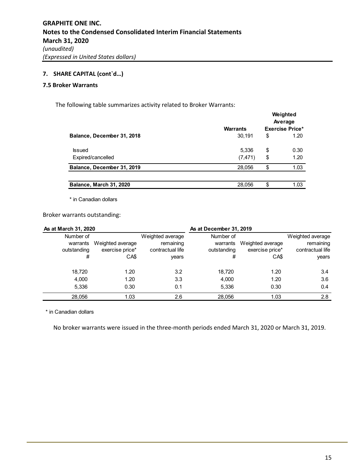#### **7.5 Broker Warrants**

The following table summarizes activity related to Broker Warrants:

|                            |                 | Weighted<br>Average |                        |  |
|----------------------------|-----------------|---------------------|------------------------|--|
|                            | <b>Warrants</b> |                     | <b>Exercise Price*</b> |  |
| Balance, December 31, 2018 | 30,191          | \$                  | 1.20                   |  |
| <b>Issued</b>              | 5,336           | \$                  | 0.30                   |  |
| Expired/cancelled          | (7, 471)        | \$                  | 1.20                   |  |
| Balance, December 31, 2019 | 28,056          | \$                  | 1.03                   |  |
|                            |                 |                     |                        |  |
| Balance, March 31, 2020    | 28.056          | \$                  | 1.03                   |  |

\* in Canadian dollars

Broker warrants outstanding:

| As at March 31, 2020                      |                                             |                                                            | As at December 31, 2019                   |                                             |                                                            |
|-------------------------------------------|---------------------------------------------|------------------------------------------------------------|-------------------------------------------|---------------------------------------------|------------------------------------------------------------|
| Number of<br>warrants<br>outstanding<br># | Weighted average<br>exercise price*<br>CA\$ | Weighted average<br>remaining<br>contractual life<br>years | Number of<br>warrants<br>outstanding<br># | Weighted average<br>exercise price*<br>CA\$ | Weighted average<br>remaining<br>contractual life<br>years |
| 18,720                                    | 1.20                                        | 3.2                                                        | 18,720                                    | 1.20                                        | 3.4                                                        |
| 4,000                                     | 1.20                                        | 3.3                                                        | 4,000                                     | 1.20                                        | 3.6                                                        |
| 5,336                                     | 0.30                                        | 0.1                                                        | 5,336                                     | 0.30                                        | 0.4                                                        |
| 28,056                                    | 1.03                                        | 2.6                                                        | 28,056                                    | 1.03                                        | 2.8                                                        |

\* in Canadian dollars

No broker warrants were issued in the three-month periods ended March 31, 2020 or March 31, 2019.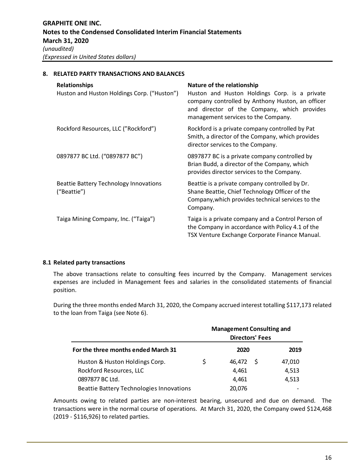**8. RELATED PARTY TRANSACTIONS AND BALANCES**

# **Relationships Nature of the relationship** Huston and Huston Holdings Corp. ("Huston") Huston and Huston Holdings Corp. is a private company controlled by Anthony Huston, an officer and director of the Company, which provides management services to the Company. Rockford Resources, LLC ("Rockford") Rockford is a private company controlled by Pat Smith, a director of the Company, which provides director services to the Company. 0897877 BC Ltd. ("0897877 BC") 0897877 BC is a private company controlled by Brian Budd, a director of the Company, which provides director services to the Company. Beattie Battery Technology Innovations ("Beattie") Beattie is a private company controlled by Dr. Shane Beattie, Chief Technology Officer of the Company,which provides technical services to the Company. Taiga Mining Company, Inc. ("Taiga") Taiga is a private company and a Control Person of the Company in accordance with Policy 4.1 of the TSX Venture Exchange Corporate Finance Manual.

# **8.1 Related party transactions**

The above transactions relate to consulting fees incurred by the Company. Management services expenses are included in Management fees and salaries in the consolidated statements of financial position.

During the three months ended March 31, 2020, the Company accrued interest totalling \$117,173 related to the loan from Taiga (see Note 6).

|                                          |    | <b>Management Consulting and</b><br><b>Directors' Fees</b> |  |        |  |
|------------------------------------------|----|------------------------------------------------------------|--|--------|--|
| For the three months ended March 31      |    | 2020                                                       |  |        |  |
| Huston & Huston Holdings Corp.           | \$ | 46.472 \$                                                  |  | 47.010 |  |
| Rockford Resources, LLC                  |    | 4.461                                                      |  | 4,513  |  |
| 0897877 BC Ltd.                          |    | 4.461                                                      |  | 4,513  |  |
| Beattie Battery Technologies Innovations |    | 20,076                                                     |  |        |  |

Amounts owing to related parties are non-interest bearing, unsecured and due on demand. The transactions were in the normal course of operations. At March 31, 2020, the Company owed \$124,468 (2019 - \$116,926) to related parties.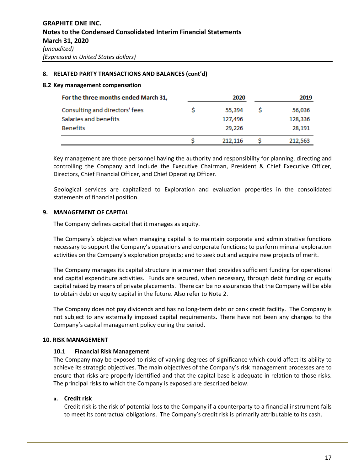## **8. RELATED PARTY TRANSACTIONS AND BALANCES (cont'd)**

#### **8.2 Key management compensation**

| For the three months ended March 31, | 2020    | 2019 |         |
|--------------------------------------|---------|------|---------|
| Consulting and directors' fees       | 55,394  |      | 56,036  |
| Salaries and benefits                | 127,496 |      | 128,336 |
| <b>Benefits</b>                      | 29,226  |      | 28,191  |
|                                      | 212,116 |      | 212,563 |

Key management are those personnel having the authority and responsibility for planning, directing and controlling the Company and include the Executive Chairman, President & Chief Executive Officer, Directors, Chief Financial Officer, and Chief Operating Officer.

Geological services are capitalized to Exploration and evaluation properties in the consolidated statements of financial position.

# **9. MANAGEMENT OF CAPITAL**

The Company defines capital that it manages as equity.

The Company's objective when managing capital is to maintain corporate and administrative functions necessary to support the Company's operations and corporate functions; to perform mineral exploration activities on the Company's exploration projects; and to seek out and acquire new projects of merit.

The Company manages its capital structure in a manner that provides sufficient funding for operational and capital expenditure activities. Funds are secured, when necessary, through debt funding or equity capital raised by means of private placements. There can be no assurances that the Company will be able to obtain debt or equity capital in the future. Also refer to Note 2.

The Company does not pay dividends and has no long-term debt or bank credit facility. The Company is not subject to any externally imposed capital requirements. There have not been any changes to the Company's capital management policy during the period.

# **10. RISK MANAGEMENT**

#### **10.1 Financial Risk Management**

The Company may be exposed to risks of varying degrees of significance which could affect its ability to achieve its strategic objectives. The main objectives of the Company's risk management processes are to ensure that risks are properly identified and that the capital base is adequate in relation to those risks. The principal risks to which the Company is exposed are described below.

# **a. Credit risk**

Credit risk is the risk of potential loss to the Company if a counterparty to a financial instrument fails to meet its contractual obligations. The Company's credit risk is primarily attributable to its cash.